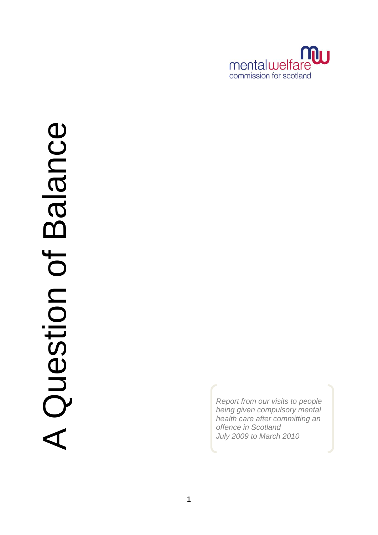

# Balance A Question of Balance A Question of

*Report from our visits to people being given compulsory mental health care after committing an offence in Scotland July 2009 to March 2010*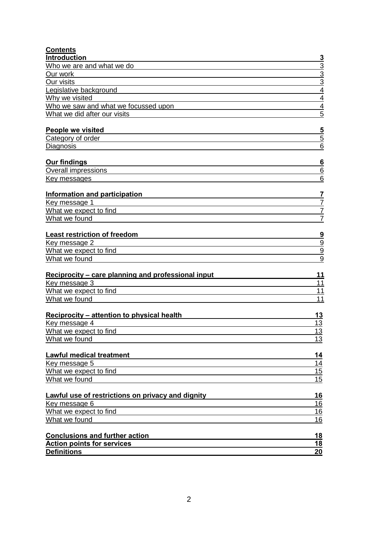| <b>Contents</b>                                                            |                                  |
|----------------------------------------------------------------------------|----------------------------------|
| Introduction                                                               | <u>3</u>                         |
| Who we are and what we do                                                  | $\frac{3}{3}$                    |
| Our work                                                                   | $\overline{3}$                   |
| Our visits                                                                 |                                  |
| Legislative background                                                     | $\overline{4}$<br>$\overline{4}$ |
| Why we visited                                                             | $\overline{4}$                   |
| Who we saw and what we focussed upon<br>What we did after our visits       | $\overline{5}$                   |
|                                                                            |                                  |
| People we visited                                                          | $\overline{\mathbf{5}}$          |
| Category of order                                                          | 5                                |
| Diagnosis                                                                  | 6                                |
|                                                                            |                                  |
| <b>Our findings</b>                                                        | <u>6</u>                         |
| <b>Overall impressions</b>                                                 | 6                                |
| <u>Key messages</u>                                                        | 6                                |
| Information and participation                                              | $\overline{1}$                   |
| Key message 1                                                              | $\overline{7}$                   |
| What we expect to find                                                     | $\overline{7}$                   |
| What we found                                                              | $\overline{7}$                   |
|                                                                            |                                  |
| <b>Least restriction of freedom</b>                                        | $\frac{9}{9}$                    |
| Key message 2                                                              |                                  |
| What we expect to find                                                     | $\overline{9}$                   |
| What we found                                                              | $\overline{9}$                   |
| <b>Reciprocity – care planning and professional input</b>                  | 11                               |
| Key message 3                                                              | 11                               |
| What we expect to find                                                     | 11                               |
| What we found                                                              | 11                               |
|                                                                            |                                  |
| <b>Reciprocity – attention to physical health</b><br>Key message 4         | 13<br>13                         |
| What we expect to find                                                     | <u> 13</u>                       |
| What we found                                                              | 13                               |
|                                                                            |                                  |
| <b>Lawful medical treatment</b>                                            | <u>14</u>                        |
| Key message 5                                                              | 14                               |
| What we expect to find                                                     | 15                               |
| What we found                                                              | 15                               |
| Lawful use of restrictions on privacy and dignity                          | 16                               |
| Key message 6                                                              | 16                               |
| What we expect to find                                                     | 16                               |
| What we found                                                              | 16                               |
|                                                                            |                                  |
| <b>Conclusions and further action</b><br><b>Action points for services</b> | 18<br><u>18</u>                  |
| <b>Definitions</b>                                                         | 20                               |
|                                                                            |                                  |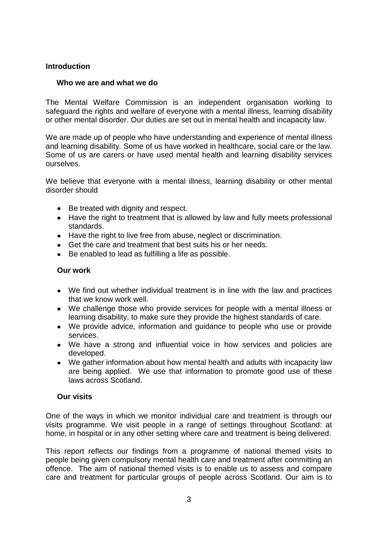## <span id="page-2-0"></span>**Introduction**

## <span id="page-2-1"></span> **Who we are and what we do**

The Mental Welfare Commission is an independent organisation working to safeguard the rights and welfare of everyone with a mental illness, learning disability or other mental disorder. Our duties are set out in mental health and incapacity law.

We are made up of people who have understanding and experience of mental illness and learning disability. Some of us have worked in healthcare, social care or the law. Some of us are carers or have used mental health and learning disability services ourselves.

We believe that everyone with a mental illness, learning disability or other mental disorder should

- Be treated with dignity and respect.
- Have the right to treatment that is allowed by law and fully meets professional standards.
- Have the right to live free from abuse, neglect or discrimination.
- Get the care and treatment that best suits his or her needs.
- Be enabled to lead as fulfilling a life as possible.  $\bullet$

## <span id="page-2-2"></span>**Our work**

- We find out whether individual treatment is in line with the law and practices that we know work well.
- We challenge those who provide services for people with a mental illness or learning disability, to make sure they provide the highest standards of care.
- We provide advice, information and guidance to people who use or provide services.
- We have a strong and influential voice in how services and policies are developed.
- We gather information about how mental health and adults with incapacity law are being applied. We use that information to promote good use of these laws across Scotland.

## <span id="page-2-3"></span>**Our visits**

One of the ways in which we monitor individual care and treatment is through our visits programme. We visit people in a range of settings throughout Scotland: at home, in hospital or in any other setting where care and treatment is being delivered.

This report reflects our findings from a programme of national themed visits to people being given compulsory mental health care and treatment after committing an offence. The aim of national themed visits is to enable us to assess and compare care and treatment for particular groups of people across Scotland. Our aim is to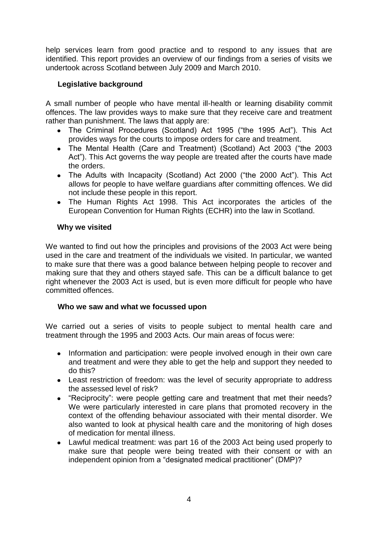help services learn from good practice and to respond to any issues that are identified. This report provides an overview of our findings from a series of visits we undertook across Scotland between July 2009 and March 2010.

# <span id="page-3-0"></span> **Legislative background**

A small number of people who have mental ill-health or learning disability commit offences. The law provides ways to make sure that they receive care and treatment rather than punishment. The laws that apply are:

- The Criminal Procedures (Scotland) Act 1995 ("the 1995 Act"). This Act provides ways for the courts to impose orders for care and treatment.
- The Mental Health (Care and Treatment) (Scotland) Act 2003 ("the 2003 Act"). This Act governs the way people are treated after the courts have made the orders.
- The Adults with Incapacity (Scotland) Act 2000 ("the 2000 Act"). This Act allows for people to have welfare guardians after committing offences. We did not include these people in this report.
- The Human Rights Act 1998. This Act incorporates the articles of the European Convention for Human Rights (ECHR) into the law in Scotland.

# <span id="page-3-1"></span>**Why we visited**

We wanted to find out how the principles and provisions of the 2003 Act were being used in the care and treatment of the individuals we visited. In particular, we wanted to make sure that there was a good balance between helping people to recover and making sure that they and others stayed safe. This can be a difficult balance to get right whenever the 2003 Act is used, but is even more difficult for people who have committed offences.

# <span id="page-3-2"></span> **Who we saw and what we focussed upon**

We carried out a series of visits to people subject to mental health care and treatment through the 1995 and 2003 Acts. Our main areas of focus were:

- Information and participation: were people involved enough in their own care and treatment and were they able to get the help and support they needed to do this?
- Least restriction of freedom: was the level of security appropriate to address the assessed level of risk?
- "Reciprocity": were people getting care and treatment that met their needs? We were particularly interested in care plans that promoted recovery in the context of the offending behaviour associated with their mental disorder. We also wanted to look at physical health care and the monitoring of high doses of medication for mental illness.
- Lawful medical treatment: was part 16 of the 2003 Act being used properly to make sure that people were being treated with their consent or with an independent opinion from a "designated medical practitioner" (DMP)?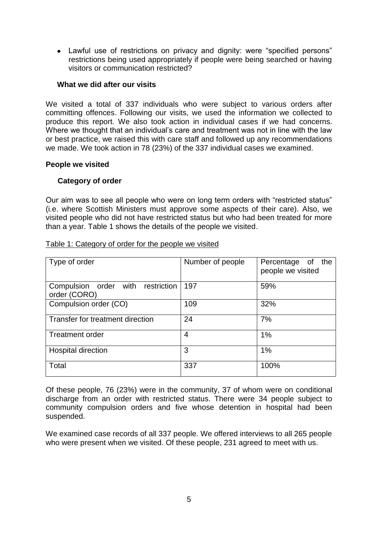Lawful use of restrictions on privacy and dignity: were "specified persons" restrictions being used appropriately if people were being searched or having visitors or communication restricted?

## <span id="page-4-0"></span>**What we did after our visits**

We visited a total of 337 individuals who were subject to various orders after committing offences. Following our visits, we used the information we collected to produce this report. We also took action in individual cases if we had concerns. Where we thought that an individual's care and treatment was not in line with the law or best practice, we raised this with care staff and followed up any recommendations we made. We took action in 78 (23%) of the 337 individual cases we examined.

#### <span id="page-4-2"></span><span id="page-4-1"></span>**People we visited**

## **Category of order**

Our aim was to see all people who were on long term orders with "restricted status" (i.e. where Scottish Ministers must approve some aspects of their care). Also, we visited people who did not have restricted status but who had been treated for more than a year. Table 1 shows the details of the people we visited.

| Type of order                                           | Number of people | Percentage<br>the<br>of<br>people we visited |
|---------------------------------------------------------|------------------|----------------------------------------------|
| order with<br>restriction<br>Compulsion<br>order (CORO) | 197              | 59%                                          |
| Compulsion order (CO)                                   | 109              | 32%                                          |
| Transfer for treatment direction                        | 24               | 7%                                           |
| <b>Treatment order</b>                                  | 4                | 1%                                           |
| <b>Hospital direction</b>                               | 3                | 1%                                           |
| Total                                                   | 337              | 100%                                         |

Table 1: Category of order for the people we visited

Of these people, 76 (23%) were in the community, 37 of whom were on conditional discharge from an order with restricted status. There were 34 people subject to community compulsion orders and five whose detention in hospital had been suspended.

We examined case records of all 337 people. We offered interviews to all 265 people who were present when we visited. Of these people, 231 agreed to meet with us.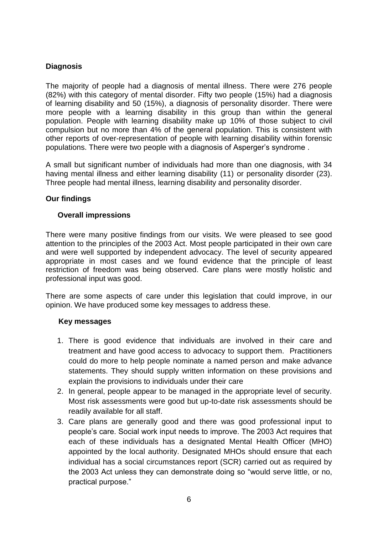# <span id="page-5-0"></span>**Diagnosis**

The majority of people had a diagnosis of mental illness. There were 276 people (82%) with this category of mental disorder. Fifty two people (15%) had a diagnosis of learning disability and 50 (15%), a diagnosis of personality disorder. There were more people with a learning disability in this group than within the general population. People with learning disability make up 10% of those subject to civil compulsion but no more than 4% of the general population. This is consistent with other reports of over-representation of people with learning disability within forensic populations. There were two people with a diagnosis of Asperger"s syndrome .

A small but significant number of individuals had more than one diagnosis, with 34 having mental illness and either learning disability (11) or personality disorder (23). Three people had mental illness, learning disability and personality disorder.

## <span id="page-5-1"></span>**Our findings**

## **Overall impressions**

There were many positive findings from our visits. We were pleased to see good attention to the principles of the 2003 Act. Most people participated in their own care and were well supported by independent advocacy. The level of security appeared appropriate in most cases and we found evidence that the principle of least restriction of freedom was being observed. Care plans were mostly holistic and professional input was good.

There are some aspects of care under this legislation that could improve, in our opinion. We have produced some key messages to address these.

## <span id="page-5-2"></span> **Key messages**

- 1. There is good evidence that individuals are involved in their care and treatment and have good access to advocacy to support them. Practitioners could do more to help people nominate a named person and make advance statements. They should supply written information on these provisions and explain the provisions to individuals under their care
- 2. In general, people appear to be managed in the appropriate level of security. Most risk assessments were good but up-to-date risk assessments should be readily available for all staff.
- 3. Care plans are generally good and there was good professional input to people"s care. Social work input needs to improve. The 2003 Act requires that each of these individuals has a designated Mental Health Officer (MHO) appointed by the local authority. Designated MHOs should ensure that each individual has a social circumstances report (SCR) carried out as required by the 2003 Act unless they can demonstrate doing so "would serve little, or no, practical purpose."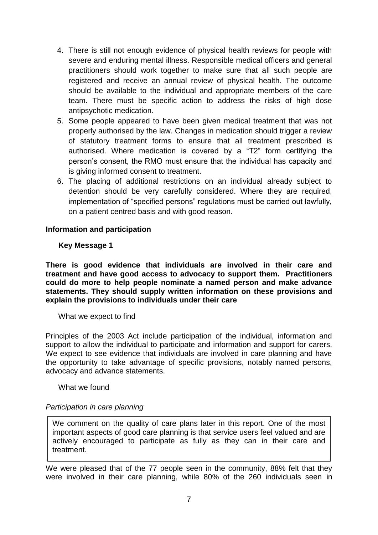- 4. There is still not enough evidence of physical health reviews for people with severe and enduring mental illness. Responsible medical officers and general practitioners should work together to make sure that all such people are registered and receive an annual review of physical health. The outcome should be available to the individual and appropriate members of the care team. There must be specific action to address the risks of high dose antipsychotic medication.
- 5. Some people appeared to have been given medical treatment that was not properly authorised by the law. Changes in medication should trigger a review of statutory treatment forms to ensure that all treatment prescribed is authorised. Where medication is covered by a "T2" form certifying the person"s consent, the RMO must ensure that the individual has capacity and is giving informed consent to treatment.
- 6. The placing of additional restrictions on an individual already subject to detention should be very carefully considered. Where they are required, implementation of "specified persons" regulations must be carried out lawfully, on a patient centred basis and with good reason.

## <span id="page-6-1"></span><span id="page-6-0"></span>**Information and participation**

## **Key Message 1**

**There is good evidence that individuals are involved in their care and treatment and have good access to advocacy to support them. Practitioners could do more to help people nominate a named person and make advance statements. They should supply written information on these provisions and explain the provisions to individuals under their care**

## <span id="page-6-2"></span>What we expect to find

Principles of the 2003 Act include participation of the individual, information and support to allow the individual to participate and information and support for carers. We expect to see evidence that individuals are involved in care planning and have the opportunity to take advantage of specific provisions, notably named persons, advocacy and advance statements.

<span id="page-6-3"></span>What we found

## *Participation in care planning*

We comment on the quality of care plans later in this report. One of the most important aspects of good care planning is that service users feel valued and are actively encouraged to participate as fully as they can in their care and treatment.

We were pleased that of the 77 people seen in the community, 88% felt that they were involved in their care planning, while 80% of the 260 individuals seen in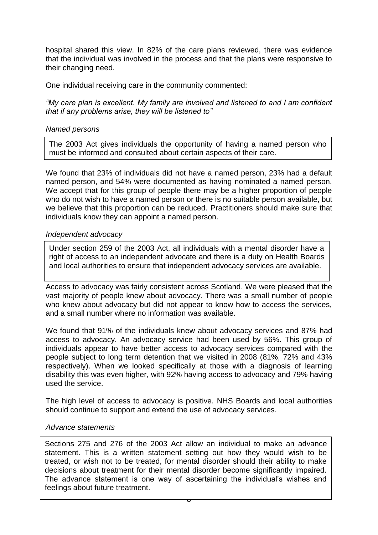hospital shared this view. In 82% of the care plans reviewed, there was evidence that the individual was involved in the process and that the plans were responsive to their changing need.

One individual receiving care in the community commented:

*"My care plan is excellent. My family are involved and listened to and I am confident that if any problems arise, they will be listened to"*

## *Named persons*

The 2003 Act gives individuals the opportunity of having a named person who must be informed and consulted about certain aspects of their care.

We found that 23% of individuals did not have a named person, 23% had a default named person, and 54% were documented as having nominated a named person. We accept that for this group of people there may be a higher proportion of people who do not wish to have a named person or there is no suitable person available, but we believe that this proportion can be reduced. Practitioners should make sure that individuals know they can appoint a named person.

#### *Independent advocacy*

Under section 259 of the 2003 Act, all individuals with a mental disorder have a right of access to an independent advocate and there is a duty on Health Boards and local authorities to ensure that independent advocacy services are available.

Access to advocacy was fairly consistent across Scotland. We were pleased that the vast majority of people knew about advocacy. There was a small number of people who knew about advocacy but did not appear to know how to access the services, and a small number where no information was available.

We found that 91% of the individuals knew about advocacy services and 87% had access to advocacy. An advocacy service had been used by 56%. This group of individuals appear to have better access to advocacy services compared with the people subject to long term detention that we visited in 2008 (81%, 72% and 43% respectively). When we looked specifically at those with a diagnosis of learning disability this was even higher, with 92% having access to advocacy and 79% having used the service.

The high level of access to advocacy is positive. NHS Boards and local authorities should continue to support and extend the use of advocacy services.

#### *Advance statements*

Sections 275 and 276 of the 2003 Act allow an individual to make an advance statement. This is a written statement setting out how they would wish to be treated, or wish not to be treated, for mental disorder should their ability to make decisions about treatment for their mental disorder become significantly impaired. The advance statement is one way of ascertaining the individual"s wishes and feelings about future treatment.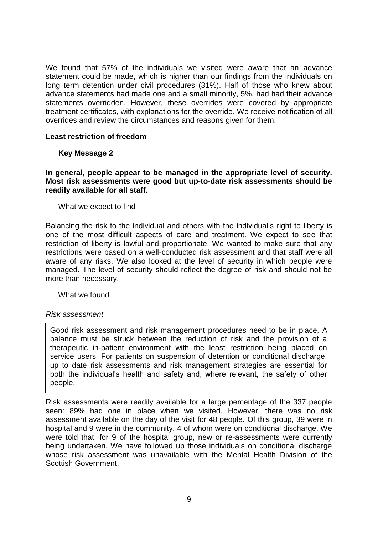We found that 57% of the individuals we visited were aware that an advance statement could be made, which is higher than our findings from the individuals on long term detention under civil procedures (31%). Half of those who knew about advance statements had made one and a small minority, 5%, had had their advance statements overridden. However, these overrides were covered by appropriate treatment certificates, with explanations for the override. We receive notification of all overrides and review the circumstances and reasons given for them.

#### <span id="page-8-1"></span><span id="page-8-0"></span>**Least restriction of freedom**

#### **Key Message 2**

#### **In general, people appear to be managed in the appropriate level of security. Most risk assessments were good but up-to-date risk assessments should be readily available for all staff.**

#### <span id="page-8-2"></span>What we expect to find

Balancing the risk to the individual and others with the individual"s right to liberty is one of the most difficult aspects of care and treatment. We expect to see that restriction of liberty is lawful and proportionate. We wanted to make sure that any restrictions were based on a well-conducted risk assessment and that staff were all aware of any risks. We also looked at the level of security in which people were managed. The level of security should reflect the degree of risk and should not be more than necessary.

<span id="page-8-3"></span>What we found

## *Risk assessment*

Good risk assessment and risk management procedures need to be in place. A balance must be struck between the reduction of risk and the provision of a therapeutic in-patient environment with the least restriction being placed on service users. For patients on suspension of detention or conditional discharge, up to date risk assessments and risk management strategies are essential for both the individual"s health and safety and, where relevant, the safety of other people.

Risk assessments were readily available for a large percentage of the 337 people seen: 89% had one in place when we visited. However, there was no risk assessment available on the day of the visit for 48 people. Of this group, 39 were in hospital and 9 were in the community, 4 of whom were on conditional discharge. We were told that, for 9 of the hospital group, new or re-assessments were currently being undertaken. We have followed up those individuals on conditional discharge whose risk assessment was unavailable with the Mental Health Division of the Scottish Government.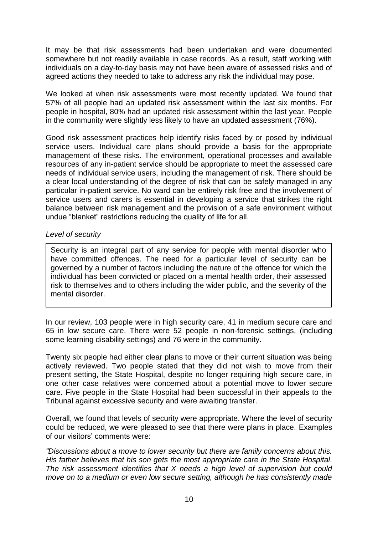It may be that risk assessments had been undertaken and were documented somewhere but not readily available in case records. As a result, staff working with individuals on a day-to-day basis may not have been aware of assessed risks and of agreed actions they needed to take to address any risk the individual may pose.

We looked at when risk assessments were most recently updated. We found that 57% of all people had an updated risk assessment within the last six months. For people in hospital, 80% had an updated risk assessment within the last year. People in the community were slightly less likely to have an updated assessment (76%).

Good risk assessment practices help identify risks faced by or posed by individual service users. Individual care plans should provide a basis for the appropriate management of these risks. The environment, operational processes and available resources of any in-patient service should be appropriate to meet the assessed care needs of individual service users, including the management of risk. There should be a clear local understanding of the degree of risk that can be safely managed in any particular in-patient service. No ward can be entirely risk free and the involvement of service users and carers is essential in developing a service that strikes the right balance between risk management and the provision of a safe environment without undue "blanket" restrictions reducing the quality of life for all.

## *Level of security*

Security is an integral part of any service for people with mental disorder who have committed offences. The need for a particular level of security can be governed by a number of factors including the nature of the offence for which the individual has been convicted or placed on a mental health order, their assessed risk to themselves and to others including the wider public, and the severity of the mental disorder.

In our review, 103 people were in high security care, 41 in medium secure care and 65 in low secure care. There were 52 people in non-forensic settings, (including some learning disability settings) and 76 were in the community.

Twenty six people had either clear plans to move or their current situation was being actively reviewed. Two people stated that they did not wish to move from their present setting, the State Hospital, despite no longer requiring high secure care, in one other case relatives were concerned about a potential move to lower secure care. Five people in the State Hospital had been successful in their appeals to the Tribunal against excessive security and were awaiting transfer.

Overall, we found that levels of security were appropriate. Where the level of security could be reduced, we were pleased to see that there were plans in place. Examples of our visitors" comments were:

*"Discussions about a move to lower security but there are family concerns about this. His father believes that his son gets the most appropriate care in the State Hospital. The risk assessment identifies that X needs a high level of supervision but could move on to a medium or even low secure setting, although he has consistently made*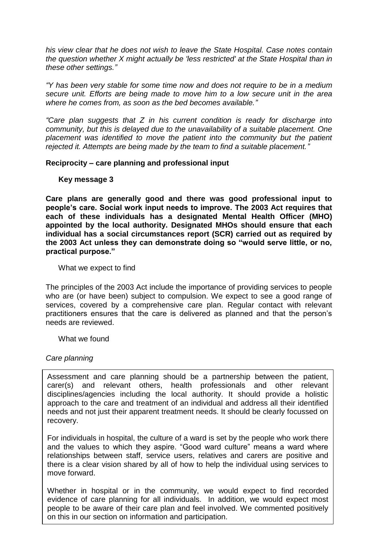*his view clear that he does not wish to leave the State Hospital. Case notes contain the question whether X might actually be 'less restricted' at the State Hospital than in these other settings."*

*"Y has been very stable for some time now and does not require to be in a medium secure unit. Efforts are being made to move him to a low secure unit in the area where he comes from, as soon as the bed becomes available."*

*"Care plan suggests that Z in his current condition is ready for discharge into community, but this is delayed due to the unavailability of a suitable placement. One placement was identified to move the patient into the community but the patient rejected it. Attempts are being made by the team to find a suitable placement."*

## <span id="page-10-1"></span><span id="page-10-0"></span>**Reciprocity – care planning and professional input**

#### **Key message 3**

**Care plans are generally good and there was good professional input to people's care. Social work input needs to improve. The 2003 Act requires that each of these individuals has a designated Mental Health Officer (MHO) appointed by the local authority. Designated MHOs should ensure that each individual has a social circumstances report (SCR) carried out as required by the 2003 Act unless they can demonstrate doing so "would serve little, or no, practical purpose."** 

<span id="page-10-2"></span>What we expect to find

The principles of the 2003 Act include the importance of providing services to people who are (or have been) subject to compulsion. We expect to see a good range of services, covered by a comprehensive care plan. Regular contact with relevant practitioners ensures that the care is delivered as planned and that the person"s needs are reviewed.

<span id="page-10-3"></span>What we found

## *Care planning*

Assessment and care planning should be a partnership between the patient, carer(s) and relevant others, health professionals and other relevant disciplines/agencies including the local authority. It should provide a holistic approach to the care and treatment of an individual and address all their identified needs and not just their apparent treatment needs. It should be clearly focussed on recovery.

For individuals in hospital, the culture of a ward is set by the people who work there and the values to which they aspire. "Good ward culture" means a ward where relationships between staff, service users, relatives and carers are positive and there is a clear vision shared by all of how to help the individual using services to move forward.

evidence of care planning for all individuals. In addition, we would expect most Whether in hospital or in the community, we would expect to find recorded people to be aware of their care plan and feel involved. We commented positively on this in our section on information and participation.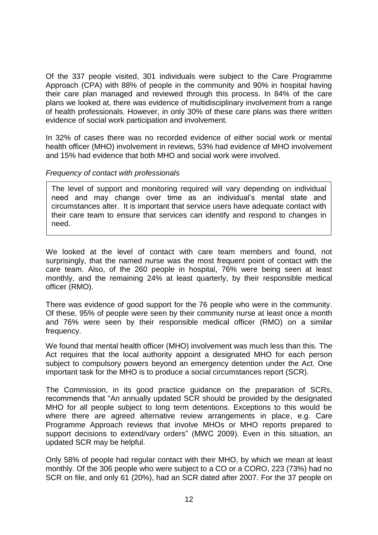Of the 337 people visited, 301 individuals were subject to the Care Programme Approach (CPA) with 88% of people in the community and 90% in hospital having their care plan managed and reviewed through this process. In 84% of the care plans we looked at, there was evidence of multidisciplinary involvement from a range of health professionals. However, in only 30% of these care plans was there written evidence of social work participation and involvement.

In 32% of cases there was no recorded evidence of either social work or mental health officer (MHO) involvement in reviews, 53% had evidence of MHO involvement and 15% had evidence that both MHO and social work were involved.

## *Frequency of contact with professionals*

The level of support and monitoring required will vary depending on individual need and may change over time as an individual"s mental state and circumstances alter. It is important that service users have adequate contact with their care team to ensure that services can identify and respond to changes in need.

We looked at the level of contact with care team members and found, not surprisingly, that the named nurse was the most frequent point of contact with the care team. Also, of the 260 people in hospital, 76% were being seen at least monthly, and the remaining 24% at least quarterly, by their responsible medical officer (RMO).

There was evidence of good support for the 76 people who were in the community. Of these, 95% of people were seen by their community nurse at least once a month and 76% were seen by their responsible medical officer (RMO) on a similar frequency.

We found that mental health officer (MHO) involvement was much less than this. The Act requires that the local authority appoint a designated MHO for each person subject to compulsory powers beyond an emergency detention under the Act. One important task for the MHO is to produce a social circumstances report (SCR).

The Commission, in its good practice guidance on the preparation of SCRs, recommends that "An annually updated SCR should be provided by the designated MHO for all people subject to long term detentions. Exceptions to this would be where there are agreed alternative review arrangements in place, e.g. Care Programme Approach reviews that involve MHOs or MHO reports prepared to support decisions to extend/vary orders" (MWC 2009). Even in this situation, an updated SCR may be helpful.

Only 58% of people had regular contact with their MHO, by which we mean at least monthly. Of the 306 people who were subject to a CO or a CORO, 223 (73%) had no SCR on file, and only 61 (20%), had an SCR dated after 2007. For the 37 people on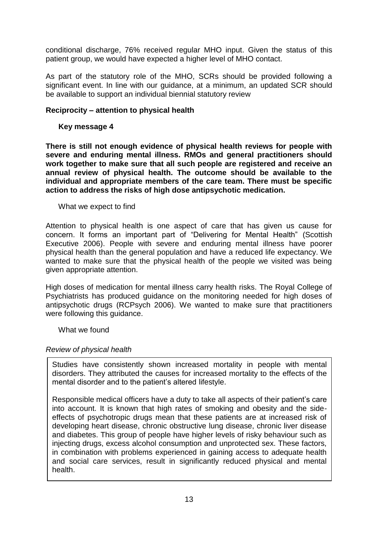conditional discharge, 76% received regular MHO input. Given the status of this patient group, we would have expected a higher level of MHO contact.

As part of the statutory role of the MHO, SCRs should be provided following a significant event. In line with our guidance, at a minimum, an updated SCR should be available to support an individual biennial statutory review

## <span id="page-12-1"></span><span id="page-12-0"></span>**Reciprocity – attention to physical health**

## **Key message 4**

**There is still not enough evidence of physical health reviews for people with severe and enduring mental illness. RMOs and general practitioners should work together to make sure that all such people are registered and receive an annual review of physical health. The outcome should be available to the individual and appropriate members of the care team. There must be specific action to address the risks of high dose antipsychotic medication.**

<span id="page-12-2"></span>What we expect to find

Attention to physical health is one aspect of care that has given us cause for concern. It forms an important part of "Delivering for Mental Health" (Scottish Executive 2006). People with severe and enduring mental illness have poorer physical health than the general population and have a reduced life expectancy. We wanted to make sure that the physical health of the people we visited was being given appropriate attention.

High doses of medication for mental illness carry health risks. The Royal College of Psychiatrists has produced guidance on the monitoring needed for high doses of antipsychotic drugs (RCPsych 2006). We wanted to make sure that practitioners were following this guidance.

<span id="page-12-3"></span>What we found

## *Review of physical health*

Studies have consistently shown increased mortality in people with mental disorders. They attributed the causes for increased mortality to the effects of the mental disorder and to the patient's altered lifestyle.

Responsible medical officers have a duty to take all aspects of their patient"s care into account. It is known that high rates of smoking and obesity and the sideeffects of psychotropic drugs mean that these patients are at increased risk of developing heart disease, chronic obstructive lung disease, chronic liver disease and diabetes. This group of people have higher levels of risky behaviour such as injecting drugs, excess alcohol consumption and unprotected sex. These factors, in combination with problems experienced in gaining access to adequate health and social care services, result in significantly reduced physical and mental health.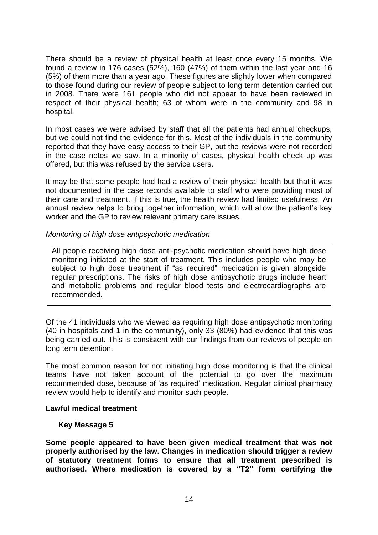There should be a review of physical health at least once every 15 months. We found a review in 176 cases (52%), 160 (47%) of them within the last year and 16 (5%) of them more than a year ago. These figures are slightly lower when compared to those found during our review of people subject to long term detention carried out in 2008. There were 161 people who did not appear to have been reviewed in respect of their physical health; 63 of whom were in the community and 98 in hospital.

In most cases we were advised by staff that all the patients had annual checkups, but we could not find the evidence for this. Most of the individuals in the community reported that they have easy access to their GP, but the reviews were not recorded in the case notes we saw. In a minority of cases, physical health check up was offered, but this was refused by the service users.

It may be that some people had had a review of their physical health but that it was not documented in the case records available to staff who were providing most of their care and treatment. If this is true, the health review had limited usefulness. An annual review helps to bring together information, which will allow the patient"s key worker and the GP to review relevant primary care issues.

## *Monitoring of high dose antipsychotic medication*

All people receiving high dose anti-psychotic medication should have high dose monitoring initiated at the start of treatment. This includes people who may be subject to high dose treatment if "as required" medication is given alongside regular prescriptions. The risks of high dose antipsychotic drugs include heart and metabolic problems and regular blood tests and electrocardiographs are recommended.

Of the 41 individuals who we viewed as requiring high dose antipsychotic monitoring (40 in hospitals and 1 in the community), only 33 (80%) had evidence that this was being carried out. This is consistent with our findings from our reviews of people on long term detention.

The most common reason for not initiating high dose monitoring is that the clinical teams have not taken account of the potential to go over the maximum recommended dose, because of "as required" medication. Regular clinical pharmacy review would help to identify and monitor such people.

## <span id="page-13-1"></span><span id="page-13-0"></span>**Lawful medical treatment**

## **Key Message 5**

**Some people appeared to have been given medical treatment that was not properly authorised by the law. Changes in medication should trigger a review of statutory treatment forms to ensure that all treatment prescribed is authorised. Where medication is covered by a "T2" form certifying the**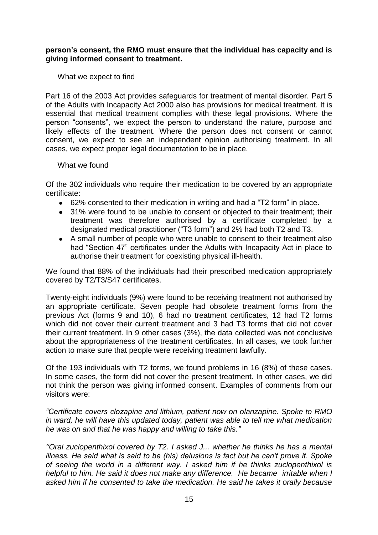## **person's consent, the RMO must ensure that the individual has capacity and is giving informed consent to treatment.**

<span id="page-14-0"></span>What we expect to find

Part 16 of the 2003 Act provides safeguards for treatment of mental disorder. Part 5 of the Adults with Incapacity Act 2000 also has provisions for medical treatment. It is essential that medical treatment complies with these legal provisions. Where the person "consents", we expect the person to understand the nature, purpose and likely effects of the treatment. Where the person does not consent or cannot consent, we expect to see an independent opinion authorising treatment. In all cases, we expect proper legal documentation to be in place.

#### <span id="page-14-1"></span>What we found

Of the 302 individuals who require their medication to be covered by an appropriate certificate:

- 62% consented to their medication in writing and had a "T2 form" in place.
- 31% were found to be unable to consent or objected to their treatment; their treatment was therefore authorised by a certificate completed by a designated medical practitioner ("T3 form") and 2% had both T2 and T3.
- A small number of people who were unable to consent to their treatment also had "Section 47" certificates under the Adults with Incapacity Act in place to authorise their treatment for coexisting physical ill-health.

We found that 88% of the individuals had their prescribed medication appropriately covered by T2/T3/S47 certificates.

Twenty-eight individuals (9%) were found to be receiving treatment not authorised by an appropriate certificate. Seven people had obsolete treatment forms from the previous Act (forms 9 and 10), 6 had no treatment certificates, 12 had T2 forms which did not cover their current treatment and 3 had T3 forms that did not cover their current treatment. In 9 other cases (3%), the data collected was not conclusive about the appropriateness of the treatment certificates. In all cases, we took further action to make sure that people were receiving treatment lawfully.

Of the 193 individuals with T2 forms, we found problems in 16 (8%) of these cases. In some cases, the form did not cover the present treatment. In other cases, we did not think the person was giving informed consent. Examples of comments from our visitors were:

*"Certificate covers clozapine and lithium, patient now on olanzapine. Spoke to RMO in ward, he will have this updated today, patient was able to tell me what medication he was on and that he was happy and willing to take this."*

*"Oral zuclopenthixol covered by T2. I asked J... whether he thinks he has a mental illness. He said what is said to be (his) delusions is fact but he can't prove it. Spoke of seeing the world in a different way. I asked him if he thinks zuclopenthixol is helpful to him. He said it does not make any difference. He became irritable when I asked him if he consented to take the medication. He said he takes it orally because*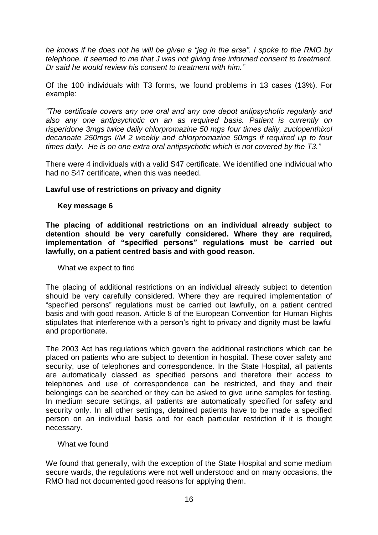*he knows if he does not he will be given a "jag in the arse". I spoke to the RMO by telephone. It seemed to me that J was not giving free informed consent to treatment. Dr said he would review his consent to treatment with him."*

Of the 100 individuals with T3 forms, we found problems in 13 cases (13%). For example:

*"The certificate covers any one oral and any one depot antipsychotic regularly and also any one antipsychotic on an as required basis. Patient is currently on risperidone 3mgs twice daily chlorpromazine 50 mgs four times daily, zuclopenthixol decanoate 250mgs I/M 2 weekly and chlorpromazine 50mgs if required up to four times daily. He is on one extra oral antipsychotic which is not covered by the T3."*

There were 4 individuals with a valid S47 certificate. We identified one individual who had no S47 certificate, when this was needed.

## <span id="page-15-1"></span><span id="page-15-0"></span>**Lawful use of restrictions on privacy and dignity**

## **Key message 6**

**The placing of additional restrictions on an individual already subject to detention should be very carefully considered. Where they are required, implementation of "specified persons" regulations must be carried out lawfully, on a patient centred basis and with good reason.**

<span id="page-15-2"></span>What we expect to find

The placing of additional restrictions on an individual already subject to detention should be very carefully considered. Where they are required implementation of "specified persons" regulations must be carried out lawfully, on a patient centred basis and with good reason. Article 8 of the European Convention for Human Rights stipulates that interference with a person's right to privacy and dignity must be lawful and proportionate.

The 2003 Act has regulations which govern the additional restrictions which can be placed on patients who are subject to detention in hospital. These cover safety and security, use of telephones and correspondence. In the State Hospital, all patients are automatically classed as specified persons and therefore their access to telephones and use of correspondence can be restricted, and they and their belongings can be searched or they can be asked to give urine samples for testing. In medium secure settings, all patients are automatically specified for safety and security only. In all other settings, detained patients have to be made a specified person on an individual basis and for each particular restriction if it is thought necessary.

## <span id="page-15-3"></span>What we found

We found that generally, with the exception of the State Hospital and some medium secure wards, the regulations were not well understood and on many occasions, the RMO had not documented good reasons for applying them.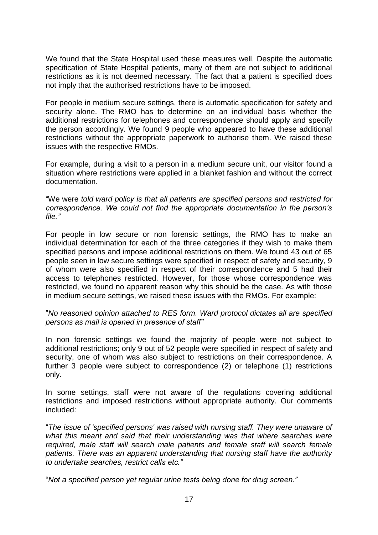We found that the State Hospital used these measures well. Despite the automatic specification of State Hospital patients, many of them are not subject to additional restrictions as it is not deemed necessary. The fact that a patient is specified does not imply that the authorised restrictions have to be imposed.

For people in medium secure settings, there is automatic specification for safety and security alone. The RMO has to determine on an individual basis whether the additional restrictions for telephones and correspondence should apply and specify the person accordingly. We found 9 people who appeared to have these additional restrictions without the appropriate paperwork to authorise them. We raised these issues with the respective RMOs.

For example, during a visit to a person in a medium secure unit, our visitor found a situation where restrictions were applied in a blanket fashion and without the correct documentation.

"We were *told ward policy is that all patients are specified persons and restricted for correspondence. We could not find the appropriate documentation in the person's file."*

For people in low secure or non forensic settings, the RMO has to make an individual determination for each of the three categories if they wish to make them specified persons and impose additional restrictions on them. We found 43 out of 65 people seen in low secure settings were specified in respect of safety and security, 9 of whom were also specified in respect of their correspondence and 5 had their access to telephones restricted. However, for those whose correspondence was restricted, we found no apparent reason why this should be the case. As with those in medium secure settings, we raised these issues with the RMOs. For example:

"*No reasoned opinion attached to RES form. Ward protocol dictates all are specified persons as mail is opened in presence of staff"*

In non forensic settings we found the majority of people were not subject to additional restrictions; only 9 out of 52 people were specified in respect of safety and security, one of whom was also subject to restrictions on their correspondence. A further 3 people were subject to correspondence (2) or telephone (1) restrictions only.

In some settings, staff were not aware of the regulations covering additional restrictions and imposed restrictions without appropriate authority. Our comments included:

"*The issue of 'specified persons' was raised with nursing staff. They were unaware of*  what this meant and said that their understanding was that where searches were *required, male staff will search male patients and female staff will search female patients. There was an apparent understanding that nursing staff have the authority to undertake searches, restrict calls etc."*

"*Not a specified person yet regular urine tests being done for drug screen."*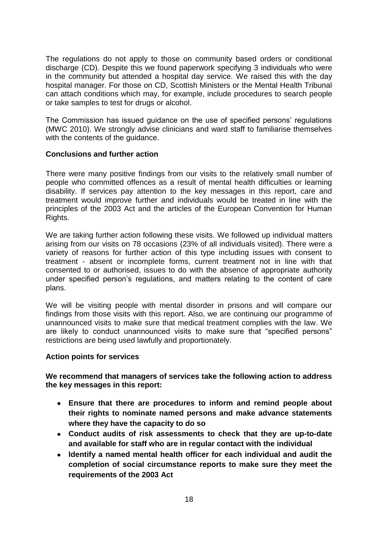The regulations do not apply to those on community based orders or conditional discharge (CD). Despite this we found paperwork specifying 3 individuals who were in the community but attended a hospital day service. We raised this with the day hospital manager. For those on CD, Scottish Ministers or the Mental Health Tribunal can attach conditions which may, for example, include procedures to search people or take samples to test for drugs or alcohol.

The Commission has issued guidance on the use of specified persons" regulations (MWC 2010). We strongly advise clinicians and ward staff to familiarise themselves with the contents of the guidance.

## <span id="page-17-0"></span>**Conclusions and further action**

There were many positive findings from our visits to the relatively small number of people who committed offences as a result of mental health difficulties or learning disability. If services pay attention to the key messages in this report, care and treatment would improve further and individuals would be treated in line with the principles of the 2003 Act and the articles of the European Convention for Human Rights.

We are taking further action following these visits. We followed up individual matters arising from our visits on 78 occasions (23% of all individuals visited). There were a variety of reasons for further action of this type including issues with consent to treatment - absent or incomplete forms, current treatment not in line with that consented to or authorised, issues to do with the absence of appropriate authority under specified person's regulations, and matters relating to the content of care plans.

We will be visiting people with mental disorder in prisons and will compare our findings from those visits with this report. Also, we are continuing our programme of unannounced visits to make sure that medical treatment complies with the law. We are likely to conduct unannounced visits to make sure that "specified persons" restrictions are being used lawfully and proportionately.

## <span id="page-17-1"></span>**Action points for services**

**We recommend that managers of services take the following action to address the key messages in this report:**

- **Ensure that there are procedures to inform and remind people about their rights to nominate named persons and make advance statements where they have the capacity to do so**
- **Conduct audits of risk assessments to check that they are up-to-date and available for staff who are in regular contact with the individual**
- $\bullet$ **Identify a named mental health officer for each individual and audit the completion of social circumstance reports to make sure they meet the requirements of the 2003 Act**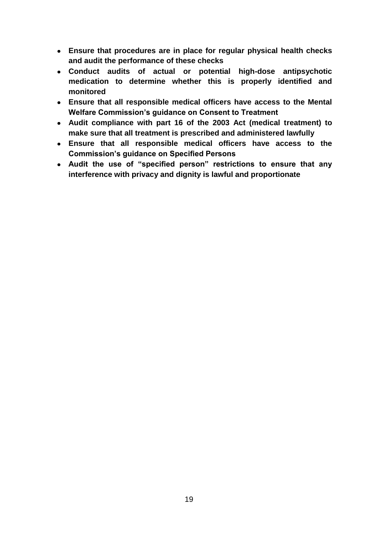- **Ensure that procedures are in place for regular physical health checks and audit the performance of these checks**
- **Conduct audits of actual or potential high-dose antipsychotic medication to determine whether this is properly identified and monitored**
- **Ensure that all responsible medical officers have access to the Mental Welfare Commission's guidance on Consent to Treatment**
- **Audit compliance with part 16 of the 2003 Act (medical treatment) to make sure that all treatment is prescribed and administered lawfully**
- **Ensure that all responsible medical officers have access to the Commission's guidance on Specified Persons**
- **Audit the use of "specified person" restrictions to ensure that any interference with privacy and dignity is lawful and proportionate**